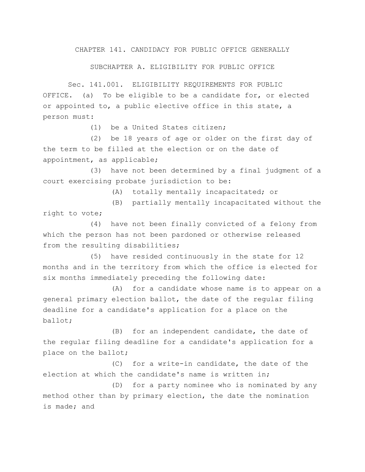CHAPTER 141. CANDIDACY FOR PUBLIC OFFICE GENERALLY

SUBCHAPTER A. ELIGIBILITY FOR PUBLIC OFFICE

Sec. 141.001. ELIGIBILITY REQUIREMENTS FOR PUBLIC OFFICE. (a) To be eligible to be a candidate for, or elected or appointed to, a public elective office in this state, a person must:

(1) be a United States citizen;

(2) be 18 years of age or older on the first day of the term to be filled at the election or on the date of appointment, as applicable;

(3) have not been determined by a final judgment of a court exercising probate jurisdiction to be:

(A) totally mentally incapacitated; or

(B) partially mentally incapacitated without the right to vote;

(4) have not been finally convicted of a felony from which the person has not been pardoned or otherwise released from the resulting disabilities;

(5) have resided continuously in the state for 12 months and in the territory from which the office is elected for six months immediately preceding the following date:

(A) for a candidate whose name is to appear on a general primary election ballot, the date of the regular filing deadline for a candidate's application for a place on the ballot;

(B) for an independent candidate, the date of the regular filing deadline for a candidate's application for a place on the ballot;

(C) for a write-in candidate, the date of the election at which the candidate's name is written in;

(D) for a party nominee who is nominated by any method other than by primary election, the date the nomination is made; and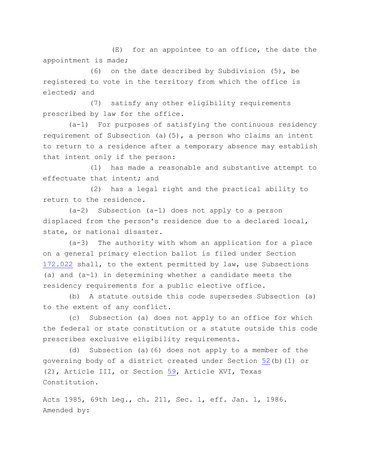(E) for an appointee to an office, the date the appointment is made;

(6) on the date described by Subdivision (5), be registered to vote in the territory from which the office is elected; and

(7) satisfy any other eligibility requirements prescribed by law for the office.

(a-1) For purposes of satisfying the continuous residency requirement of Subsection (a)(5), a person who claims an intent to return to a residence after a temporary absence may establish that intent only if the person:

(1) has made a reasonable and substantive attempt to effectuate that intent; and

(2) has a legal right and the practical ability to return to the residence.

(a-2) Subsection (a-1) does not apply to a person displaced from the person's residence due to a declared local, state, or national disaster.

(a-3) The authority with whom an application for a place on a general primary election ballot is filed under Section [172.022](http://www.statutes.legis.state.tx.us/GetStatute.aspx?Code=EL&Value=172.022) shall, to the extent permitted by law, use Subsections (a) and (a-1) in determining whether a candidate meets the residency requirements for a public elective office.

(b) A statute outside this code supersedes Subsection (a) to the extent of any conflict.

(c) Subsection (a) does not apply to an office for which the federal or state constitution or a statute outside this code prescribes exclusive eligibility requirements.

(d) Subsection (a)(6) does not apply to a member of the governing body of a district created under Section [52\(](http://www.statutes.legis.state.tx.us/GetStatute.aspx?Code=CN&Value=3.52)b)(1) or (2), Article III, or Section [59,](http://www.statutes.legis.state.tx.us/GetStatute.aspx?Code=CN&Value=16.59) Article XVI, Texas Constitution.

Acts 1985, 69th Leg., ch. 211, Sec. 1, eff. Jan. 1, 1986. Amended by: